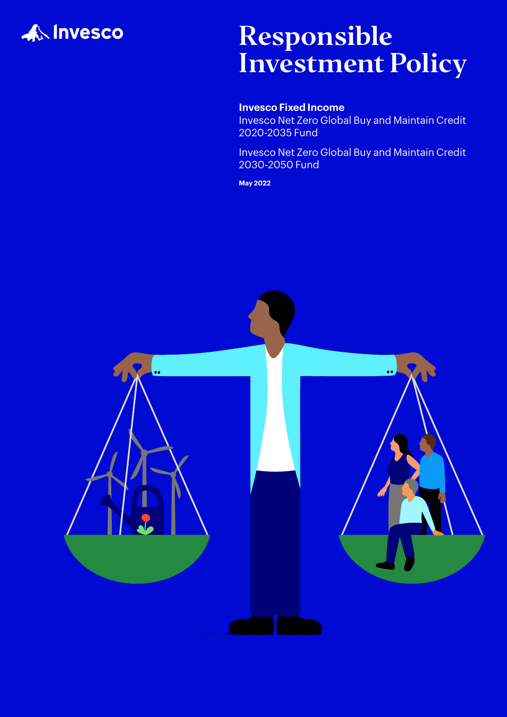

# Responsible Investment Policy

### **Invesco Fixed Income**

Invesco Net Zero Global Buy and Maintain Credit 2020-2035 Fund

Invesco Net Zero Global Buy and Maintain Credit 2030-2050 Fund

**May 2022** 

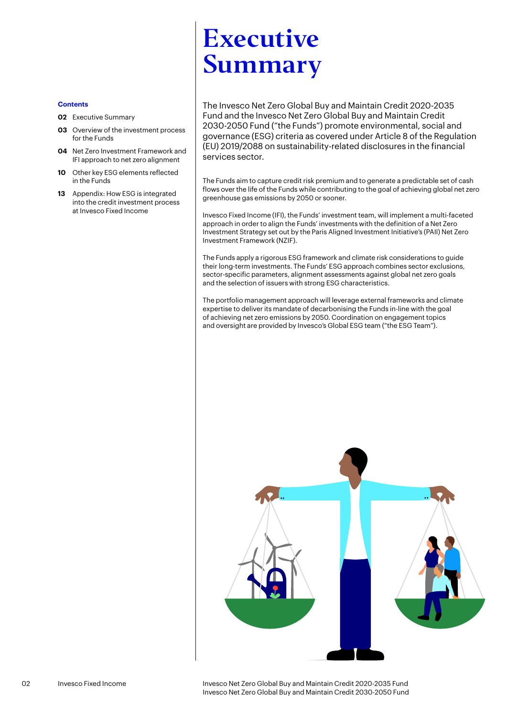### **Contents**

- **02** [Executive Summary](#page-1-0)
- **03** Overview of the investment process for the Funds
- **04** Net Zero Investment Framework and IFI approach to net zero alignment
- **10** Other key ESG elements reflected in the Funds
- **13** [Appendix: How ESG is integrated](#page-13-0)  [into the credit investment process](#page-13-0)  [at Invesco Fixed Income](#page-13-0)

## <span id="page-1-0"></span>Executive Summary

The Invesco Net Zero Global Buy and Maintain Credit 2020-2035 Fund and the Invesco Net Zero Global Buy and Maintain Credit 2030-2050 Fund ("the Funds") promote environmental, social and governance (ESG) criteria as covered under Article 8 of the Regulation (EU) 2019/2088 on sustainability-related disclosures in the financial services sector.

The Funds aim to capture credit risk premium and to generate a predictable set of cash flows over the life of the Funds while contributing to the goal of achieving global net zero greenhouse gas emissions by 2050 or sooner.

Invesco Fixed Income (IFI), the Funds' investment team, will implement a multi-faceted approach in order to align the Funds' investments with the definition of a Net Zero Investment Strategy set out by the Paris Aligned Investment Initiative's (PAII) Net Zero Investment Framework (NZIF).

The Funds apply a rigorous ESG framework and climate risk considerations to guide their long-term investments. The Funds' ESG approach combines sector exclusions, sector-specific parameters, alignment assessments against global net zero goals and the selection of issuers with strong ESG characteristics.

The portfolio management approach will leverage external frameworks and climate expertise to deliver its mandate of decarbonising the Funds in-line with the goal of achieving net zero emissions by 2050. Coordination on engagement topics and oversight are provided by Invesco's Global ESG team ("the ESG Team").



02 Invesco Fixed Income Invesco Net Zero Global Buy and Maintain Credit 2020-2035 Fund Invesco Net Zero Global Buy and Maintain Credit 2030-2050 Fund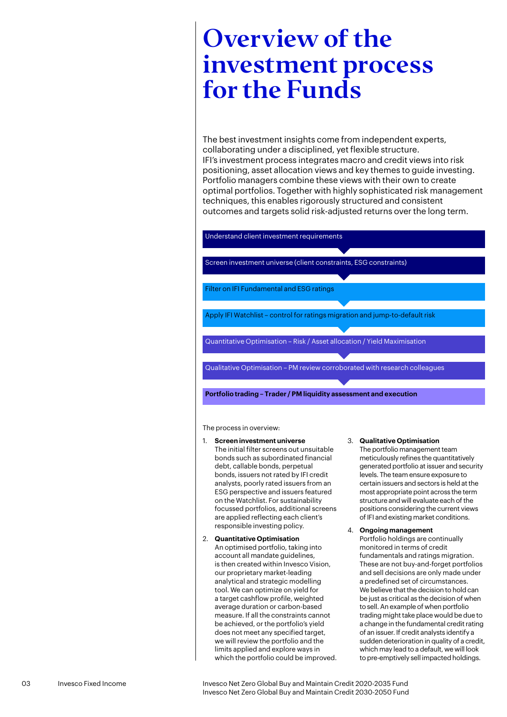## Overview of the investment process for the Funds

The best investment insights come from independent experts, collaborating under a disciplined, yet flexible structure. IFI's investment process integrates macro and credit views into risk positioning, asset allocation views and key themes to guide investing. Portfolio managers combine these views with their own to create optimal portfolios. Together with highly sophisticated risk management techniques, this enables rigorously structured and consistent outcomes and targets solid risk-adjusted returns over the long term.

Understand client investment requirements

Screen investment universe (client constraints, ESG constraints)

Filter on IFI Fundamental and ESG ratings

Apply IFI Watchlist – control for ratings migration and jump-to-default risk

Quantitative Optimisation – Risk / Asset allocation / Yield Maximisation

Qualitative Optimisation – PM review corroborated with research colleagues

**Portfolio trading – Trader / PM liquidity assessment and execution**

The process in overview:

- 1. **Screen investment universe** The initial filter screens out unsuitable bonds such as subordinated financial debt, callable bonds, perpetual bonds, issuers not rated by IFI credit analysts, poorly rated issuers from an ESG perspective and issuers featured on the Watchlist. For sustainability focussed portfolios, additional screens are applied reflecting each client's responsible investing policy.
- 2. **Quantitative Optimisation** An optimised portfolio, taking into account all mandate quidelines. is then created within Invesco Vision, our proprietary market-leading analytical and strategic modelling tool. We can optimize on yield for a target cashflow profile, weighted average duration or carbon-based measure. If all the constraints cannot be achieved, or the portfolio's yield does not meet any specified target, we will review the portfolio and the limits applied and explore ways in which the portfolio could be improved.

### 3. **Qualitative Optimisation**

The portfolio management team meticulously refines the quantitatively generated portfolio at issuer and security levels. The team ensure exposure to certain issuers and sectors is held at the most appropriate point across the term structure and will evaluate each of the positions considering the current views of IFI and existing market conditions.

4. **Ongoing management** Portfolio holdings are continually monitored in terms of credit fundamentals and ratings migration. These are not buy-and-forget portfolios and sell decisions are only made under a predefined set of circumstances. We believe that the decision to hold can be just as critical as the decision of when to sell. An example of when portfolio trading might take place would be due to a change in the fundamental credit rating of an issuer. If credit analysts identify a sudden deterioration in quality of a credit which may lead to a default, we will look to pre-emptively sell impacted holdings.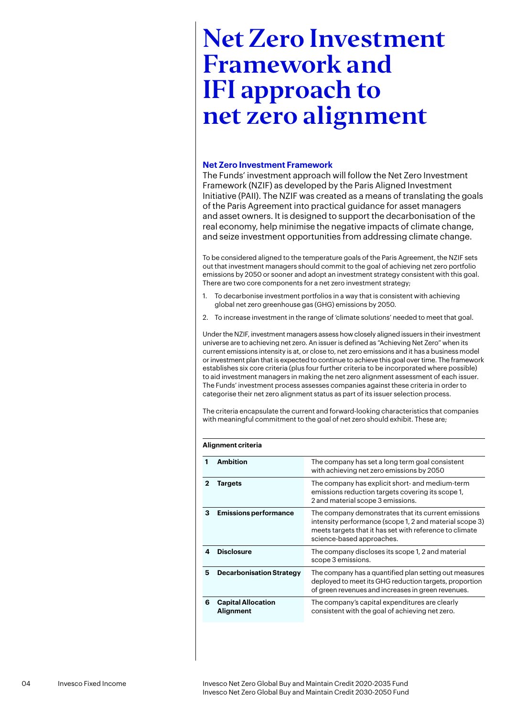### **Net Zero Investment Framework**

The Funds' investment approach will follow the Net Zero Investment Framework (NZIF) as developed by the Paris Aligned Investment Initiative (PAII). The NZIF was created as a means of translating the goals of the Paris Agreement into practical guidance for asset managers and asset owners. It is designed to support the decarbonisation of the real economy, help minimise the negative impacts of climate change, and seize investment opportunities from addressing climate change.

To be considered aligned to the temperature goals of the Paris Agreement, the NZIF sets out that investment managers should commit to the goal of achieving net zero portfolio emissions by 2050 or sooner and adopt an investment strategy consistent with this goal. There are two core components for a net zero investment strategy;

- 1. To decarbonise investment portfolios in a way that is consistent with achieving global net zero greenhouse gas (GHG) emissions by 2050.
- 2. To increase investment in the range of 'climate solutions' needed to meet that goal.

Under the NZIF, investment managers assess how closely aligned issuers in their investment universe are to achieving net zero. An issuer is defined as "Achieving Net Zero" when its current emissions intensity is at, or close to, net zero emissions and it has a business model or investment plan that is expected to continue to achieve this goal over time. The framework establishes six core criteria (plus four further criteria to be incorporated where possible) to aid investment managers in making the net zero alignment assessment of each issuer. The Funds' investment process assesses companies against these criteria in order to categorise their net zero alignment status as part of its issuer selection process.

The criteria encapsulate the current and forward-looking characteristics that companies with meaningful commitment to the goal of net zero should exhibit. These are;

### **Alignment criteria**

|   | <b>Ambition</b>                        | The company has set a long term goal consistent<br>with achieving net zero emissions by 2050                                                                                                           |
|---|----------------------------------------|--------------------------------------------------------------------------------------------------------------------------------------------------------------------------------------------------------|
| 2 | Targets                                | The company has explicit short- and medium-term<br>emissions reduction targets covering its scope 1,<br>2 and material scope 3 emissions.                                                              |
| з | <b>Emissions performance</b>           | The company demonstrates that its current emissions<br>intensity performance (scope 1, 2 and material scope 3)<br>meets targets that it has set with reference to climate<br>science-based approaches. |
|   | <b>Disclosure</b>                      | The company discloses its scope 1, 2 and material<br>scope 3 emissions.                                                                                                                                |
| 5 | <b>Decarbonisation Strategy</b>        | The company has a quantified plan setting out measures<br>deployed to meet its GHG reduction targets, proportion<br>of green revenues and increases in green revenues.                                 |
| 6 | <b>Capital Allocation</b><br>Alignment | The company's capital expenditures are clearly<br>consistent with the goal of achieving net zero.                                                                                                      |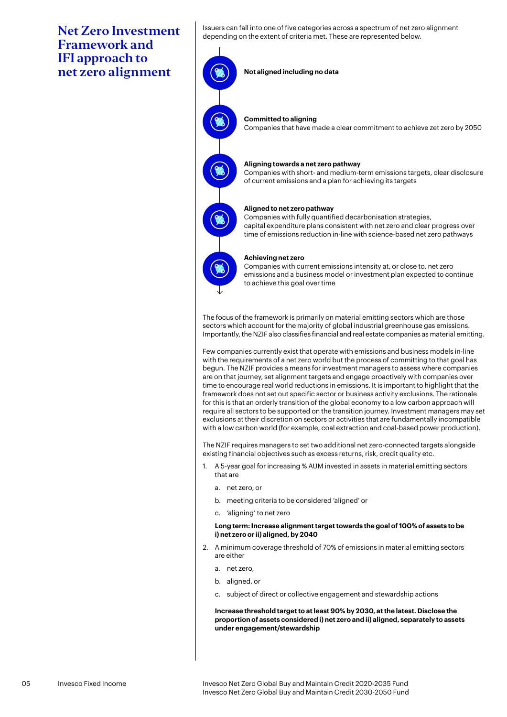Issuers can fall into one of five categories across a spectrum of net zero alignment depending on the extent of criteria met. These are represented below.

**Not aligned including no data Committed to aligning** Companies that have made a clear commitment to achieve zet zero by 2050 **Aligning towards a net zero pathway** Companies with short- and medium-term emissions targets, clear disclosure of current emissions and a plan for achieving its targets **Aligned to net zero pathway** Companies with fully quantified decarbonisation strategies, capital expenditure plans consistent with net zero and clear progress over time of emissions reduction in-line with science-based net zero pathways **Achieving net zero** Companies with current emissions intensity at, or close to, net zero emissions and a business model or investment plan expected to continue to achieve this goal over time

The focus of the framework is primarily on material emitting sectors which are those sectors which account for the majority of global industrial greenhouse gas emissions. Importantly, the NZIF also classifies financial and real estate companies as material emitting.

Few companies currently exist that operate with emissions and business models in-line with the requirements of a net zero world but the process of committing to that goal has begun. The NZIF provides a means for investment managers to assess where companies are on that journey, set alignment targets and engage proactively with companies over time to encourage real world reductions in emissions. It is important to highlight that the framework does not set out specific sector or business activity exclusions. The rationale for this is that an orderly transition of the global economy to a low carbon approach will require all sectors to be supported on the transition journey. Investment managers may set exclusions at their discretion on sectors or activities that are fundamentally incompatible with a low carbon world (for example, coal extraction and coal-based power production).

The NZIF requires managers to set two additional net zero-connected targets alongside existing financial objectives such as excess returns, risk, credit quality etc.

- 1. A 5-year goal for increasing % AUM invested in assets in material emitting sectors that are
	- a. net zero, or
	- b. meeting criteria to be considered 'aligned' or
	- c. 'aligning' to net zero

### **Long term: Increase alignment target towards the goal of 100% of assets to be i) net zero or ii) aligned, by 2040**

- 2. A minimum coverage threshold of 70% of emissions in material emitting sectors are either
	- a. net zero,
	- b. aligned, or
	- c. subject of direct or collective engagement and stewardship actions

 **Increase threshold target to at least 90% by 2030, at the latest. Disclose the proportion of assets considered i) net zero and ii) aligned, separately to assets under engagement/stewardship**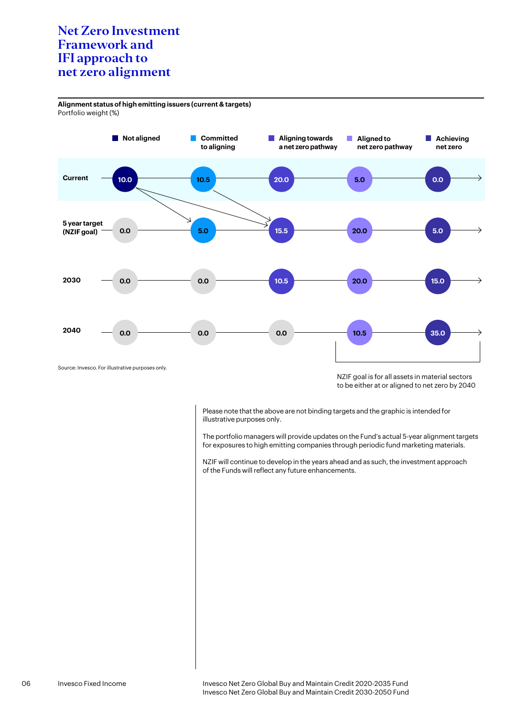**Alignment status of high emitting issuers (current & targets)** Portfolio weight (%)



NZIF goal is for all assets in material sectors to be either at or aligned to net zero by 2040

Please note that the above are not binding targets and the graphic is intended for illustrative purposes only.

The portfolio managers will provide updates on the Fund's actual 5-year alignment targets for exposures to high emitting companies through periodic fund marketing materials.

NZIF will continue to develop in the years ahead and as such, the investment approach of the Funds will reflect any future enhancements.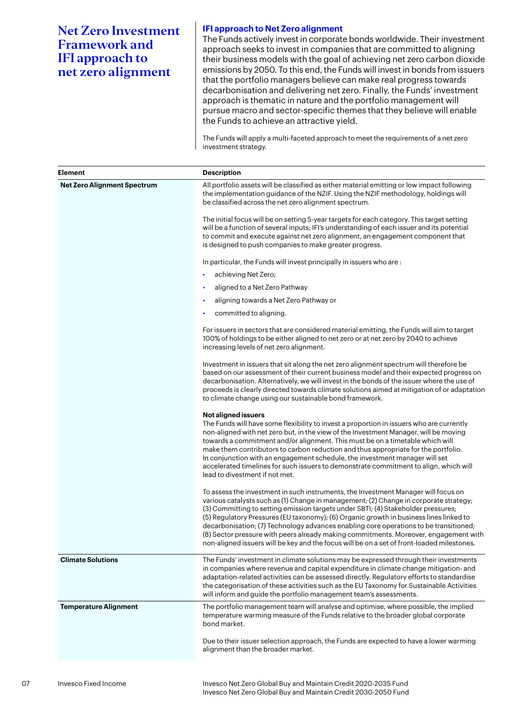### **IFI approach to Net Zero alignment**

The Funds actively invest in corporate bonds worldwide. Their investment approach seeks to invest in companies that are committed to aligning their business models with the goal of achieving net zero carbon dioxide emissions by 2050. To this end, the Funds will invest in bonds from issuers that the portfolio managers believe can make real progress towards decarbonisation and delivering net zero. Finally, the Funds' investment approach is thematic in nature and the portfolio management will pursue macro and sector-specific themes that they believe will enable the Funds to achieve an attractive yield.

The Funds will apply a multi-faceted approach to meet the requirements of a net zero investment strategy.

| <b>Element</b>                     | <b>Description</b>                                                                                                                                                                                                                                                                                                                                                                                                                                                                                                                                                                                                                       |
|------------------------------------|------------------------------------------------------------------------------------------------------------------------------------------------------------------------------------------------------------------------------------------------------------------------------------------------------------------------------------------------------------------------------------------------------------------------------------------------------------------------------------------------------------------------------------------------------------------------------------------------------------------------------------------|
| <b>Net Zero Alignment Spectrum</b> | All portfolio assets will be classified as either material emitting or low impact following<br>the implementation guidance of the NZIF. Using the NZIF methodology, holdings will<br>be classified across the net zero alignment spectrum.                                                                                                                                                                                                                                                                                                                                                                                               |
|                                    | The initial focus will be on setting 5-year targets for each category. This target setting<br>will be a function of several inputs; IFI's understanding of each issuer and its potential<br>to commit and execute against net zero alignment, an engagement component that<br>is designed to push companies to make greater progress.                                                                                                                                                                                                                                                                                                    |
|                                    | In particular, the Funds will invest principally in issuers who are :                                                                                                                                                                                                                                                                                                                                                                                                                                                                                                                                                                    |
|                                    | achieving Net Zero;                                                                                                                                                                                                                                                                                                                                                                                                                                                                                                                                                                                                                      |
|                                    | aligned to a Net Zero Pathway<br>$\bullet$                                                                                                                                                                                                                                                                                                                                                                                                                                                                                                                                                                                               |
|                                    | aligning towards a Net Zero Pathway or                                                                                                                                                                                                                                                                                                                                                                                                                                                                                                                                                                                                   |
|                                    | committed to aligning.                                                                                                                                                                                                                                                                                                                                                                                                                                                                                                                                                                                                                   |
|                                    | For issuers in sectors that are considered material emitting, the Funds will aim to target<br>100% of holdings to be either aligned to net zero or at net zero by 2040 to achieve<br>increasing levels of net zero alignment.                                                                                                                                                                                                                                                                                                                                                                                                            |
|                                    | Investment in issuers that sit along the net zero alignment spectrum will therefore be<br>based on our assessment of their current business model and their expected progress on<br>decarbonisation. Alternatively, we will invest in the bonds of the issuer where the use of<br>proceeds is clearly directed towards climate solutions aimed at mitigation of or adaptation<br>to climate change using our sustainable bond framework.                                                                                                                                                                                                 |
|                                    | <b>Not aligned issuers</b><br>The Funds will have some flexibility to invest a proportion in issuers who are currently<br>non-aligned with net zero but, in the view of the Investment Manager, will be moving<br>towards a commitment and/or alignment. This must be on a timetable which will<br>make them contributors to carbon reduction and thus appropriate for the portfolio.<br>In conjunction with an engagement schedule, the investment manager will set<br>accelerated timelines for such issuers to demonstrate commitment to align, which will<br>lead to divestment if not met.                                          |
|                                    | To assess the investment in such instruments, the Investment Manager will focus on<br>various catalysts such as (1) Change in management; (2) Change in corporate strategy;<br>(3) Committing to setting emission targets under SBTI; (4) Stakeholder pressures;<br>(5) Regulatory Pressures (EU taxonomy); (6) Organic growth in business lines linked to<br>decarbonisation; (7) Technology advances enabling core operations to be transitioned;<br>(8) Sector pressure with peers already making commitments. Moreover, engagement with<br>non-aligned issuers will be key and the focus will be on a set of front-loaded milestones |
| <b>Climate Solutions</b>           | The Funds' investment in climate solutions may be expressed through their investments<br>in companies where revenue and capital expenditure in climate change mitigation- and<br>adaptation-related activities can be assessed directly. Regulatory efforts to standardise<br>the categorisation of these activities such as the EU Taxonomy for Sustainable Activities<br>will inform and guide the portfolio management team's assessments.                                                                                                                                                                                            |
| <b>Temperature Alignment</b>       | The portfolio management team will analyse and optimise, where possible, the implied<br>temperature warming measure of the Funds relative to the broader global corporate<br>bond market.                                                                                                                                                                                                                                                                                                                                                                                                                                                |
|                                    | Due to their issuer selection approach, the Funds are expected to have a lower warming<br>alignment than the broader market.                                                                                                                                                                                                                                                                                                                                                                                                                                                                                                             |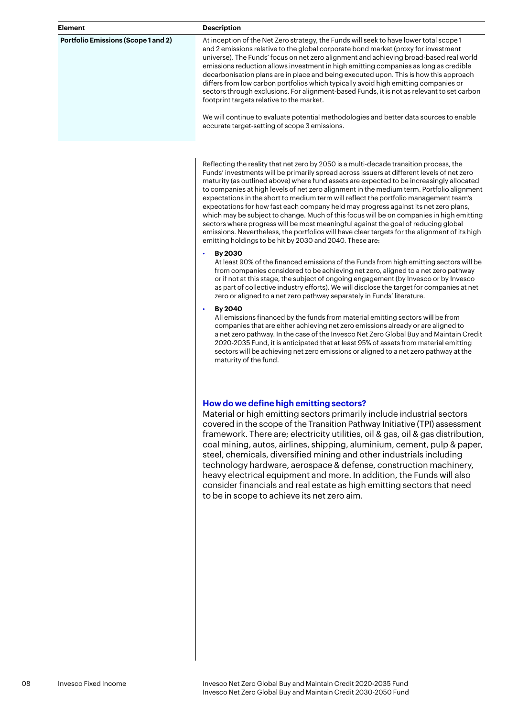### **Element Description**

**Portfolio Emissions (Scope 1 and 2)** At inception of the Net Zero strategy, the Funds will seek to have lower total scope 1 and 2 emissions relative to the global corporate bond market (proxy for investment universe). The Funds' focus on net zero alignment and achieving broad-based real world emissions reduction allows investment in high emitting companies as long as credible decarbonisation plans are in place and being executed upon. This is how this approach differs from low carbon portfolios which typically avoid high emitting companies or sectors through exclusions. For alignment-based Funds, it is not as relevant to set carbon footprint targets relative to the market.

> We will continue to evaluate potential methodologies and better data sources to enable accurate target-setting of scope 3 emissions.

Reflecting the reality that net zero by 2050 is a multi-decade transition process, the Funds' investments will be primarily spread across issuers at different levels of net zero maturity (as outlined above) where fund assets are expected to be increasingly allocated to companies at high levels of net zero alignment in the medium term. Portfolio alignment expectations in the short to medium term will reflect the portfolio management team's expectations for how fast each company held may progress against its net zero plans, which may be subject to change. Much of this focus will be on companies in high emitting sectors where progress will be most meaningful against the goal of reducing global emissions. Nevertheless, the portfolios will have clear targets for the alignment of its high emitting holdings to be hit by 2030 and 2040. These are:

#### • **By 2030**

At least 90% of the financed emissions of the Funds from high emitting sectors will be from companies considered to be achieving net zero, aligned to a net zero pathway or if not at this stage, the subject of ongoing engagement (by Invesco or by Invesco as part of collective industry efforts). We will disclose the target for companies at net zero or aligned to a net zero pathway separately in Funds' literature.

### • **By 2040**

All emissions financed by the funds from material emitting sectors will be from companies that are either achieving net zero emissions already or are aligned to a net zero pathway. In the case of the Invesco Net Zero Global Buy and Maintain Credit 2020-2035 Fund, it is anticipated that at least 95% of assets from material emitting sectors will be achieving net zero emissions or aligned to a net zero pathway at the maturity of the fund.

### **How do we define high emitting sectors?**

Material or high emitting sectors primarily include industrial sectors covered in the scope of the Transition Pathway Initiative (TPI) assessment framework. There are; electricity utilities, oil & gas, oil & gas distribution, coal mining, autos, airlines, shipping, aluminium, cement, pulp & paper, steel, chemicals, diversified mining and other industrials including technology hardware, aerospace & defense, construction machinery, heavy electrical equipment and more. In addition, the Funds will also consider financials and real estate as high emitting sectors that need to be in scope to achieve its net zero aim.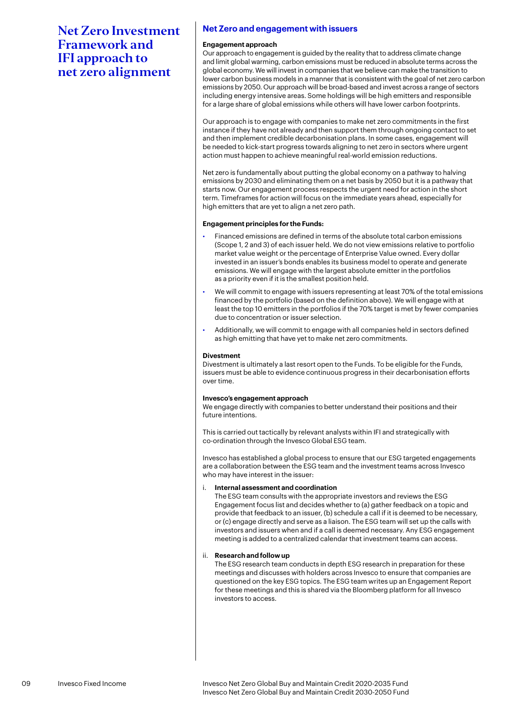### **Net Zero and engagement with issuers**

### **Engagement approach**

Our approach to engagement is guided by the reality that to address climate change and limit global warming, carbon emissions must be reduced in absolute terms across the global economy. We will invest in companies that we believe can make the transition to lower carbon business models in a manner that is consistent with the goal of net zero carbon emissions by 2050. Our approach will be broad-based and invest across a range of sectors including energy intensive areas. Some holdings will be high emitters and responsible for a large share of global emissions while others will have lower carbon footprints.

Our approach is to engage with companies to make net zero commitments in the first instance if they have not already and then support them through ongoing contact to set and then implement credible decarbonisation plans. In some cases, engagement will be needed to kick-start progress towards aligning to net zero in sectors where urgent action must happen to achieve meaningful real-world emission reductions.

Net zero is fundamentally about putting the global economy on a pathway to halving emissions by 2030 and eliminating them on a net basis by 2050 but it is a pathway that starts now. Our engagement process respects the urgent need for action in the short term. Timeframes for action will focus on the immediate years ahead, especially for high emitters that are yet to align a net zero path.

#### **Engagement principles for the Funds:**

- Financed emissions are defined in terms of the absolute total carbon emissions (Scope 1, 2 and 3) of each issuer held. We do not view emissions relative to portfolio market value weight or the percentage of Enterprise Value owned. Every dollar invested in an issuer's bonds enables its business model to operate and generate emissions. We will engage with the largest absolute emitter in the portfolios as a priority even if it is the smallest position held.
- We will commit to engage with issuers representing at least 70% of the total emissions financed by the portfolio (based on the definition above). We will engage with at least the top 10 emitters in the portfolios if the 70% target is met by fewer companies due to concentration or issuer selection.
- Additionally, we will commit to engage with all companies held in sectors defined as high emitting that have yet to make net zero commitments.

### **Divestment**

Divestment is ultimately a last resort open to the Funds. To be eligible for the Funds, issuers must be able to evidence continuous progress in their decarbonisation efforts over time.

### **Invesco's engagement approach**

We engage directly with companies to better understand their positions and their future intentions.

This is carried out tactically by relevant analysts within IFI and strategically with co-ordination through the Invesco Global ESG team.

Invesco has established a global process to ensure that our ESG targeted engagements are a collaboration between the ESG team and the investment teams across Invesco who may have interest in the issuer:

### i. **Internal assessment and coordination**

The ESG team consults with the appropriate investors and reviews the ESG Engagement focus list and decides whether to (a) gather feedback on a topic and provide that feedback to an issuer, (b) schedule a call if it is deemed to be necessary, or (c) engage directly and serve as a liaison. The ESG team will set up the calls with investors and issuers when and if a call is deemed necessary. Any ESG engagement meeting is added to a centralized calendar that investment teams can access.

### ii. **Research and follow up**

The ESG research team conducts in depth ESG research in preparation for these meetings and discusses with holders across Invesco to ensure that companies are questioned on the key ESG topics. The ESG team writes up an Engagement Report for these meetings and this is shared via the Bloomberg platform for all Invesco investors to access.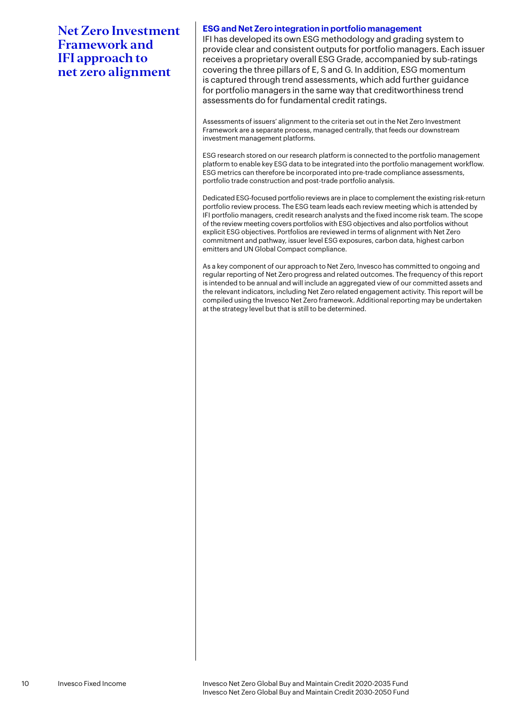### **ESG and Net Zero integration in portfolio management**

IFI has developed its own ESG methodology and grading system to provide clear and consistent outputs for portfolio managers. Each issuer receives a proprietary overall ESG Grade, accompanied by sub-ratings covering the three pillars of E, S and G. In addition, ESG momentum is captured through trend assessments, which add further guidance for portfolio managers in the same way that creditworthiness trend assessments do for fundamental credit ratings.

Assessments of issuers' alignment to the criteria set out in the Net Zero Investment Framework are a separate process, managed centrally, that feeds our downstream investment management platforms.

ESG research stored on our research platform is connected to the portfolio management platform to enable key ESG data to be integrated into the portfolio management workflow. ESG metrics can therefore be incorporated into pre-trade compliance assessments, portfolio trade construction and post-trade portfolio analysis.

Dedicated ESG-focused portfolio reviews are in place to complement the existing risk-return portfolio review process. The ESG team leads each review meeting which is attended by IFI portfolio managers, credit research analysts and the fixed income risk team. The scope of the review meeting covers portfolios with ESG objectives and also portfolios without explicit ESG objectives. Portfolios are reviewed in terms of alignment with Net Zero commitment and pathway, issuer level ESG exposures, carbon data, highest carbon emitters and UN Global Compact compliance.

As a key component of our approach to Net Zero, Invesco has committed to ongoing and regular reporting of Net Zero progress and related outcomes. The frequency of this report is intended to be annual and will include an aggregated view of our committed assets and the relevant indicators, including Net Zero related engagement activity. This report will be compiled using the Invesco Net Zero framework. Additional reporting may be undertaken at the strategy level but that is still to be determined.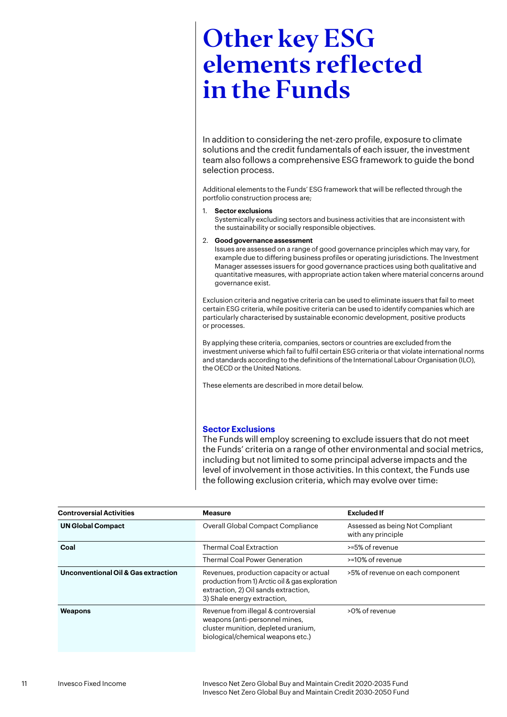## Other key ESG elements reflected in the Funds

In addition to considering the net-zero profile, exposure to climate solutions and the credit fundamentals of each issuer, the investment team also follows a comprehensive ESG framework to guide the bond selection process.

Additional elements to the Funds' ESG framework that will be reflected through the portfolio construction process are;

1. **Sector exclusions**

Systemically excluding sectors and business activities that are inconsistent with the sustainability or socially responsible objectives.

### 2. **Good governance assessment**

Issues are assessed on a range of good governance principles which may vary, for example due to differing business profiles or operating jurisdictions. The Investment Manager assesses issuers for good governance practices using both qualitative and quantitative measures, with appropriate action taken where material concerns around governance exist.

Exclusion criteria and negative criteria can be used to eliminate issuers that fail to meet certain ESG criteria, while positive criteria can be used to identify companies which are particularly characterised by sustainable economic development, positive products or processes.

By applying these criteria, companies, sectors or countries are excluded from the investment universe which fail to fulfil certain ESG criteria or that violate international norms and standards according to the definitions of the International Labour Organisation (ILO), the OECD or the United Nations.

These elements are described in more detail below.

### **Sector Exclusions**

The Funds will employ screening to exclude issuers that do not meet the Funds' criteria on a range of other environmental and social metrics, including but not limited to some principal adverse impacts and the level of involvement in those activities. In this context, the Funds use the following exclusion criteria, which may evolve over time:

| <b>Controversial Activities</b>                | <b>Measure</b>                                                                                                                                                    | <b>Excluded If</b>                                    |  |
|------------------------------------------------|-------------------------------------------------------------------------------------------------------------------------------------------------------------------|-------------------------------------------------------|--|
| <b>UN Global Compact</b>                       | Overall Global Compact Compliance                                                                                                                                 | Assessed as being Not Compliant<br>with any principle |  |
| Coal                                           | <b>Thermal Coal Extraction</b>                                                                                                                                    | >=5% of revenue                                       |  |
|                                                | <b>Thermal Coal Power Generation</b>                                                                                                                              | >=10% of revenue                                      |  |
| <b>Unconventional Oil &amp; Gas extraction</b> | Revenues, production capacity or actual<br>production from 1) Arctic oil & gas exploration<br>extraction, 2) Oil sands extraction,<br>3) Shale energy extraction, | >5% of revenue on each component                      |  |
| Weapons                                        | Revenue from illegal & controversial<br>weapons (anti-personnel mines,<br>cluster munition, depleted uranium,<br>biological/chemical weapons etc.)                | >0% of revenue                                        |  |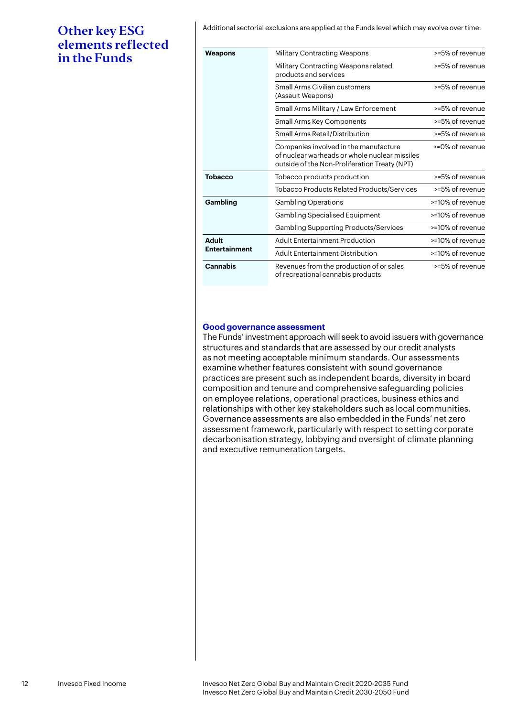Additional sectorial exclusions are applied at the Funds level which may evolve over time:

### Other key ESG elements reflected in the Funds

| Weapons              | <b>Military Contracting Weapons</b>                                                                                                     | >=5% of revenue    |
|----------------------|-----------------------------------------------------------------------------------------------------------------------------------------|--------------------|
|                      | Military Contracting Weapons related<br>products and services                                                                           | >=5% of revenue    |
|                      | Small Arms Civilian customers<br>(Assault Weapons)                                                                                      | >=5% of revenue    |
|                      | Small Arms Military / Law Enforcement                                                                                                   | >=5% of revenue    |
|                      | Small Arms Key Components                                                                                                               | $>= 5% of revenue$ |
|                      | Small Arms Retail/Distribution                                                                                                          | >=5% of revenue    |
|                      | Companies involved in the manufacture<br>of nuclear warheads or whole nuclear missiles<br>outside of the Non-Proliferation Treaty (NPT) | >=0% of revenue    |
| Tobacco              | Tobacco products production                                                                                                             | >=5% of revenue    |
|                      | <b>Tobacco Products Related Products/Services</b>                                                                                       | >=5% of revenue    |
| Gambling             | <b>Gambling Operations</b>                                                                                                              | >=10% of revenue   |
|                      | Gambling Specialised Equipment                                                                                                          | >=10% of revenue   |
|                      | <b>Gambling Supporting Products/Services</b>                                                                                            | >=10% of revenue   |
| <b>Adult</b>         | <b>Adult Entertainment Production</b>                                                                                                   | >=10% of revenue   |
| <b>Entertainment</b> | <b>Adult Entertainment Distribution</b>                                                                                                 | >=10% of revenue   |
| <b>Cannabis</b>      | Revenues from the production of or sales<br>of recreational cannabis products                                                           | >=5% of revenue    |

### **Good governance assessment**

The Funds' investment approach will seek to avoid issuers with governance structures and standards that are assessed by our credit analysts as not meeting acceptable minimum standards. Our assessments examine whether features consistent with sound governance practices are present such as independent boards, diversity in board composition and tenure and comprehensive safeguarding policies on employee relations, operational practices, business ethics and relationships with other key stakeholders such as local communities. Governance assessments are also embedded in the Funds' net zero assessment framework, particularly with respect to setting corporate decarbonisation strategy, lobbying and oversight of climate planning and executive remuneration targets.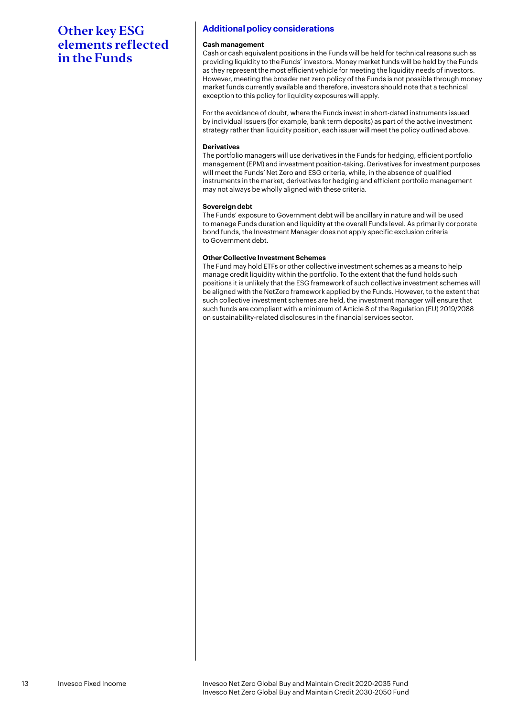### Other key ESG elements reflected in the Funds

### **Additional policy considerations**

### **Cash management**

Cash or cash equivalent positions in the Funds will be held for technical reasons such as providing liquidity to the Funds' investors. Money market funds will be held by the Funds as they represent the most efficient vehicle for meeting the liquidity needs of investors. However, meeting the broader net zero policy of the Funds is not possible through money market funds currently available and therefore, investors should note that a technical exception to this policy for liquidity exposures will apply.

For the avoidance of doubt, where the Funds invest in short-dated instruments issued by individual issuers (for example, bank term deposits) as part of the active investment strategy rather than liquidity position, each issuer will meet the policy outlined above.

### **Derivatives**

The portfolio managers will use derivatives in the Funds for hedging, efficient portfolio management (EPM) and investment position-taking. Derivatives for investment purposes will meet the Funds' Net Zero and ESG criteria, while, in the absence of qualified instruments in the market, derivatives for hedging and efficient portfolio management may not always be wholly aligned with these criteria.

### **Sovereign debt**

The Funds' exposure to Government debt will be ancillary in nature and will be used to manage Funds duration and liquidity at the overall Funds level. As primarily corporate bond funds, the Investment Manager does not apply specific exclusion criteria to Government debt.

### **Other Collective Investment Schemes**

The Fund may hold ETFs or other collective investment schemes as a means to help manage credit liquidity within the portfolio. To the extent that the fund holds such positions it is unlikely that the ESG framework of such collective investment schemes will be aligned with the NetZero framework applied by the Funds. However, to the extent that such collective investment schemes are held, the investment manager will ensure that such funds are compliant with a minimum of Article 8 of the Regulation (EU) 2019/2088 on sustainability-related disclosures in the financial services sector.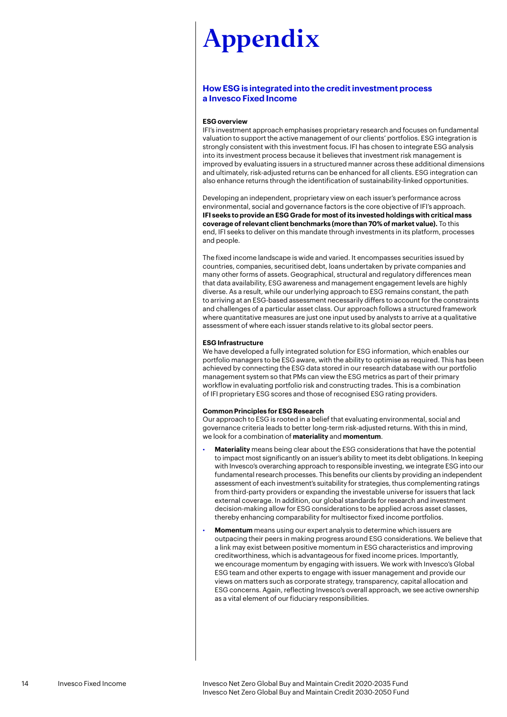### <span id="page-13-0"></span>**How ESG is integrated into the credit investment process a Invesco Fixed Income**

### **ESG overview**

IFI's investment approach emphasises proprietary research and focuses on fundamental valuation to support the active management of our clients' portfolios. ESG integration is strongly consistent with this investment focus. IFI has chosen to integrate ESG analysis into its investment process because it believes that investment risk management is improved by evaluating issuers in a structured manner across these additional dimensions and ultimately, risk-adjusted returns can be enhanced for all clients. ESG integration can also enhance returns through the identification of sustainability-linked opportunities.

Developing an independent, proprietary view on each issuer's performance across environmental, social and governance factors is the core objective of IFI's approach. **IFI seeks to provide an ESG Grade for most of its invested holdings with critical mass coverage of relevant client benchmarks (more than 70% of market value).** To this end, IFI seeks to deliver on this mandate through investments in its platform, processes and people.

The fixed income landscape is wide and varied. It encompasses securities issued by countries, companies, securitised debt, loans undertaken by private companies and many other forms of assets. Geographical, structural and regulatory differences mean that data availability, ESG awareness and management engagement levels are highly diverse. As a result, while our underlying approach to ESG remains constant, the path to arriving at an ESG-based assessment necessarily differs to account for the constraints and challenges of a particular asset class. Our approach follows a structured framework where quantitative measures are just one input used by analysts to arrive at a qualitative assessment of where each issuer stands relative to its global sector peers.

### **ESG Infrastructure**

We have developed a fully integrated solution for ESG information, which enables our portfolio managers to be ESG aware, with the ability to optimise as required. This has been achieved by connecting the ESG data stored in our research database with our portfolio management system so that PMs can view the ESG metrics as part of their primary workflow in evaluating portfolio risk and constructing trades. This is a combination of IFI proprietary ESG scores and those of recognised ESG rating providers.

### **Common Principles for ESG Research**

Our approach to ESG is rooted in a belief that evaluating environmental, social and governance criteria leads to better long-term risk-adjusted returns. With this in mind, we look for a combination of **materiality** and **momentum**.

- **Materiality** means being clear about the ESG considerations that have the potential to impact most significantly on an issuer's ability to meet its debt obligations. In keeping with Invesco's overarching approach to responsible investing, we integrate ESG into our fundamental research processes. This benefits our clients by providing an independent assessment of each investment's suitability for strategies, thus complementing ratings from third-party providers or expanding the investable universe for issuers that lack external coverage. In addition, our global standards for research and investment decision-making allow for ESG considerations to be applied across asset classes, thereby enhancing comparability for multisector fixed income portfolios.
- **Momentum** means using our expert analysis to determine which issuers are outpacing their peers in making progress around ESG considerations. We believe that a link may exist between positive momentum in ESG characteristics and improving creditworthiness, which is advantageous for fixed income prices. Importantly, we encourage momentum by engaging with issuers. We work with Invesco's Global ESG team and other experts to engage with issuer management and provide our views on matters such as corporate strategy, transparency, capital allocation and ESG concerns. Again, reflecting Invesco's overall approach, we see active ownership as a vital element of our fiduciary responsibilities.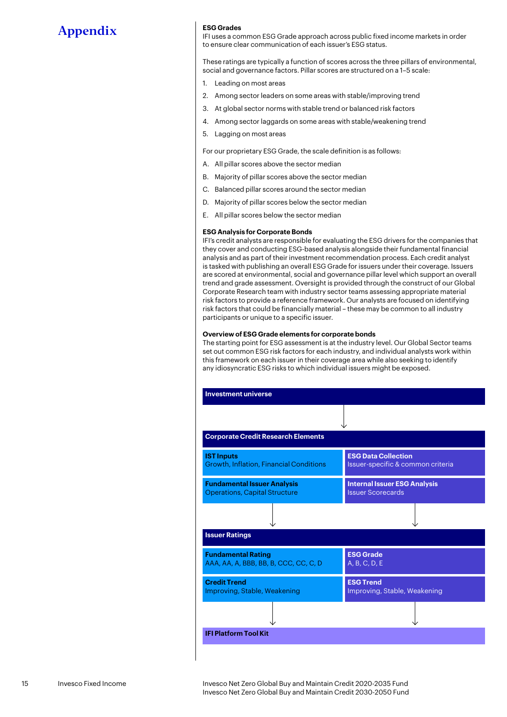### **ESG Grades**

IFI uses a common ESG Grade approach across public fixed income markets in order to ensure clear communication of each issuer's ESG status.

These ratings are typically a function of scores across the three pillars of environmental, social and governance factors. Pillar scores are structured on a 1–5 scale:

- 1. Leading on most areas
- 2. Among sector leaders on some areas with stable/improving trend
- 3. At global sector norms with stable trend or balanced risk factors
- 4. Among sector laggards on some areas with stable/weakening trend
- 5. Lagging on most areas

For our proprietary ESG Grade, the scale definition is as follows:

- A. All pillar scores above the sector median
- B. Majority of pillar scores above the sector median
- C. Balanced pillar scores around the sector median
- D. Majority of pillar scores below the sector median
- E. All pillar scores below the sector median

#### **ESG Analysis for Corporate Bonds**

IFI's credit analysts are responsible for evaluating the ESG drivers for the companies that they cover and conducting ESG-based analysis alongside their fundamental financial analysis and as part of their investment recommendation process. Each credit analyst is tasked with publishing an overall ESG Grade for issuers under their coverage. Issuers are scored at environmental, social and governance pillar level which support an overall trend and grade assessment. Oversight is provided through the construct of our Global Corporate Research team with industry sector teams assessing appropriate material risk factors to provide a reference framework. Our analysts are focused on identifying risk factors that could be financially material – these may be common to all industry participants or unique to a specific issuer.

### **Overview of ESG Grade elements for corporate bonds**

The starting point for ESG assessment is at the industry level. Our Global Sector teams set out common ESG risk factors for each industry, and individual analysts work within this framework on each issuer in their coverage area while also seeking to identify any idiosyncratic ESG risks to which individual issuers might be exposed.

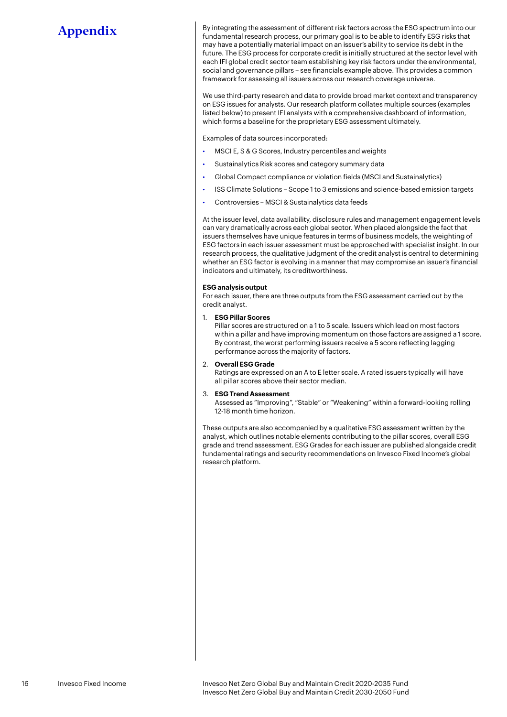By integrating the assessment of different risk factors across the ESG spectrum into our fundamental research process, our primary goal is to be able to identify ESG risks that may have a potentially material impact on an issuer's ability to service its debt in the future. The ESG process for corporate credit is initially structured at the sector level with each IFI global credit sector team establishing key risk factors under the environmental, social and governance pillars – see financials example above. This provides a common framework for assessing all issuers across our research coverage universe.

We use third-party research and data to provide broad market context and transparency on ESG issues for analysts. Our research platform collates multiple sources (examples listed below) to present IFI analysts with a comprehensive dashboard of information, which forms a baseline for the proprietary ESG assessment ultimately.

Examples of data sources incorporated:

- MSCI E, S & G Scores, Industry percentiles and weights
- Sustainalytics Risk scores and category summary data
- Global Compact compliance or violation fields (MSCI and Sustainalytics)
- ISS Climate Solutions Scope 1 to 3 emissions and science-based emission targets
- Controversies MSCI & Sustainalytics data feeds

At the issuer level, data availability, disclosure rules and management engagement levels can vary dramatically across each global sector. When placed alongside the fact that issuers themselves have unique features in terms of business models, the weighting of ESG factors in each issuer assessment must be approached with specialist insight. In our research process, the qualitative judgment of the credit analyst is central to determining whether an ESG factor is evolving in a manner that may compromise an issuer's financial indicators and ultimately, its creditworthiness.

#### **ESG analysis output**

For each issuer, there are three outputs from the ESG assessment carried out by the credit analyst.

1. **ESG Pillar Scores**

Pillar scores are structured on a 1 to 5 scale. Issuers which lead on most factors within a pillar and have improving momentum on those factors are assigned a 1 score. By contrast, the worst performing issuers receive a 5 score reflecting lagging performance across the majority of factors.

### 2. **Overall ESG Grade**

Ratings are expressed on an A to E letter scale. A rated issuers typically will have all pillar scores above their sector median.

### 3. **ESG Trend Assessment**

Assessed as "Improving", "Stable" or "Weakening" within a forward-looking rolling 12-18 month time horizon.

These outputs are also accompanied by a qualitative ESG assessment written by the analyst, which outlines notable elements contributing to the pillar scores, overall ESG grade and trend assessment. ESG Grades for each issuer are published alongside credit fundamental ratings and security recommendations on Invesco Fixed Income's global research platform.